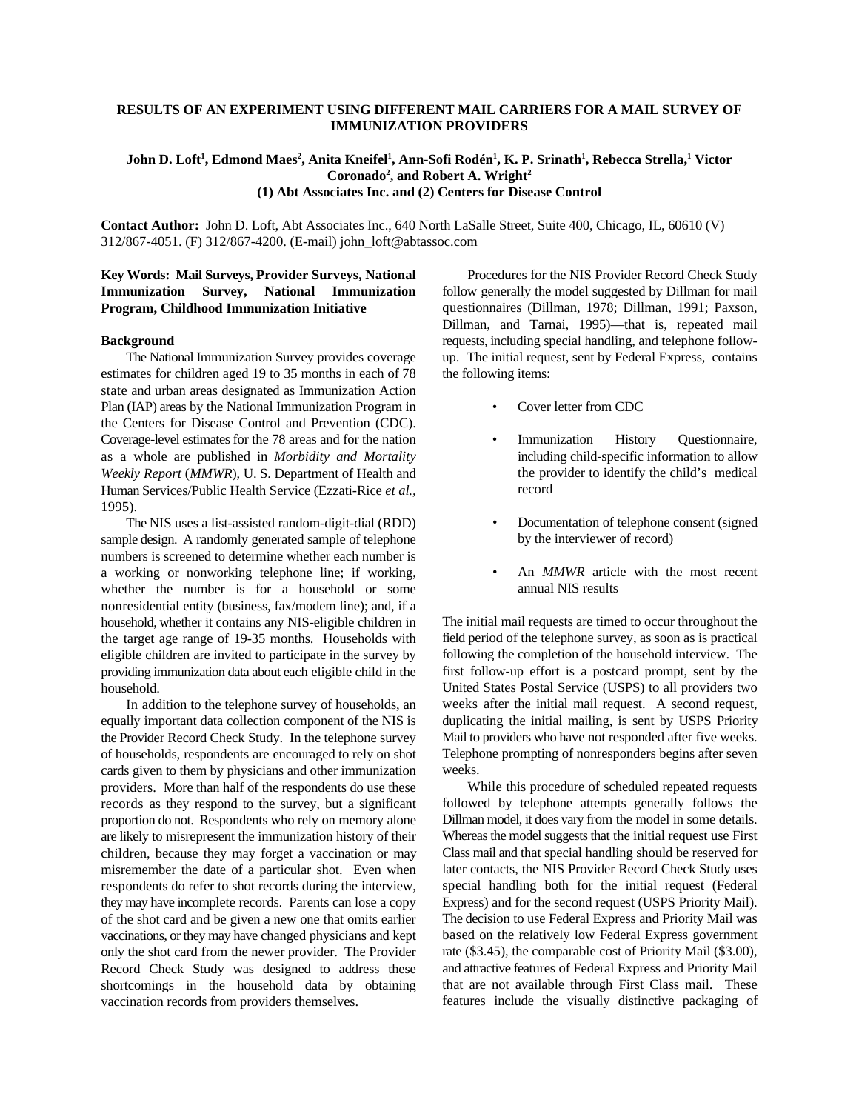#### **RESULTS OF AN EXPERIMENT USING DIFFERENT MAIL CARRIERS FOR A MAIL SURVEY OF IMMUNIZATION PROVIDERS**

# **<sup>1</sup> <sup>2</sup> <sup>1</sup> <sup>1</sup> <sup>1</sup> <sup>1</sup> John D. Loft , Edmond Maes , Anita Kneifel , Ann-Sofi Rodén , K. P. Srinath , Rebecca Strella, Victor 2 <sup>2</sup> Coronado , and Robert A. Wright (1) Abt Associates Inc. and (2) Centers for Disease Control**

**Contact Author:** John D. Loft, Abt Associates Inc., 640 North LaSalle Street, Suite 400, Chicago, IL, 60610 (V) 312/867-4051. (F) 312/867-4200. (E-mail) john\_loft@abtassoc.com

### **Key Words: Mail Surveys, Provider Surveys, National Immunization Survey, National Immunization Program, Childhood Immunization Initiative**

#### **Background**

The National Immunization Survey provides coverage estimates for children aged 19 to 35 months in each of 78 state and urban areas designated as Immunization Action Plan (IAP) areas by the National Immunization Program in the Centers for Disease Control and Prevention (CDC). Coverage-level estimates for the 78 areas and for the nation as a whole are published in *Morbidity and Mortality Weekly Report* (*MMWR*), U. S. Department of Health and Human Services/Public Health Service (Ezzati-Rice *et al.,*  1995).

The NIS uses a list-assisted random-digit-dial (RDD) sample design. A randomly generated sample of telephone numbers is screened to determine whether each number is a working or nonworking telephone line; if working, whether the number is for a household or some nonresidential entity (business, fax/modem line); and, if a household, whether it contains any NIS-eligible children in the target age range of 19-35 months. Households with eligible children are invited to participate in the survey by providing immunization data about each eligible child in the household.

In addition to the telephone survey of households, an equally important data collection component of the NIS is the Provider Record Check Study. In the telephone survey of households, respondents are encouraged to rely on shot cards given to them by physicians and other immunization providers. More than half of the respondents do use these records as they respond to the survey, but a significant proportion do not. Respondents who rely on memory alone are likely to misrepresent the immunization history of their children, because they may forget a vaccination or may misremember the date of a particular shot. Even when respondents do refer to shot records during the interview, they may have incomplete records. Parents can lose a copy of the shot card and be given a new one that omits earlier vaccinations, or they may have changed physicians and kept only the shot card from the newer provider. The Provider Record Check Study was designed to address these shortcomings in the household data by obtaining vaccination records from providers themselves.

Procedures for the NIS Provider Record Check Study follow generally the model suggested by Dillman for mail questionnaires (Dillman, 1978; Dillman, 1991; Paxson, Dillman, and Tarnai, 1995)—that is, repeated mail requests, including special handling, and telephone followup. The initial request, sent by Federal Express, contains the following items:

- Cover letter from CDC
- Immunization History Questionnaire, including child-specific information to allow the provider to identify the child's medical record
- Documentation of telephone consent (signed by the interviewer of record)
- An *MMWR* article with the most recent annual NIS results

The initial mail requests are timed to occur throughout the field period of the telephone survey, as soon as is practical following the completion of the household interview. The first follow-up effort is a postcard prompt, sent by the United States Postal Service (USPS) to all providers two weeks after the initial mail request. A second request, duplicating the initial mailing, is sent by USPS Priority Mail to providers who have not responded after five weeks. Telephone prompting of nonresponders begins after seven weeks.

While this procedure of scheduled repeated requests followed by telephone attempts generally follows the Dillman model, it does vary from the model in some details. Whereas the model suggests that the initial request use First Class mail and that special handling should be reserved for later contacts, the NIS Provider Record Check Study uses special handling both for the initial request (Federal Express) and for the second request (USPS Priority Mail). The decision to use Federal Express and Priority Mail was based on the relatively low Federal Express government rate (\$3.45), the comparable cost of Priority Mail (\$3.00), and attractive features of Federal Express and Priority Mail that are not available through First Class mail. These features include the visually distinctive packaging of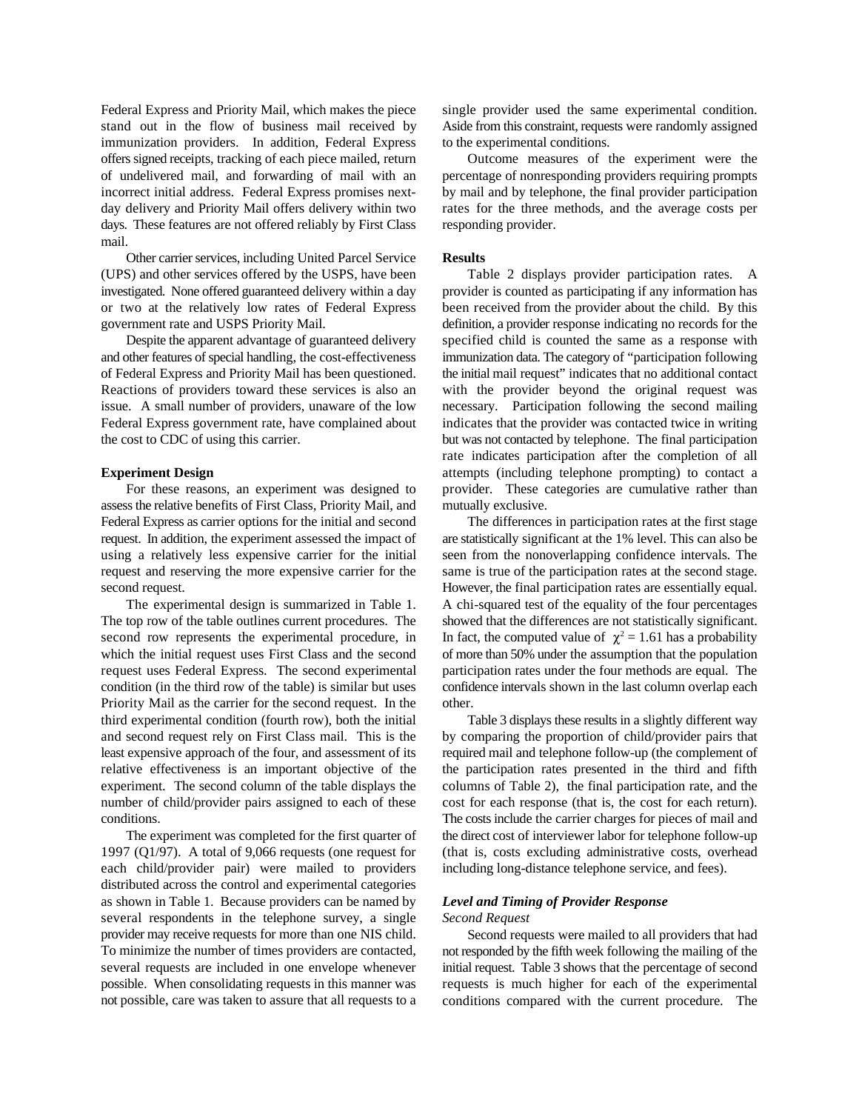Federal Express and Priority Mail, which makes the piece stand out in the flow of business mail received by immunization providers. In addition, Federal Express offers signed receipts, tracking of each piece mailed, return of undelivered mail, and forwarding of mail with an incorrect initial address. Federal Express promises nextday delivery and Priority Mail offers delivery within two days. These features are not offered reliably by First Class mail.

Other carrier services, including United Parcel Service (UPS) and other services offered by the USPS, have been investigated. None offered guaranteed delivery within a day or two at the relatively low rates of Federal Express government rate and USPS Priority Mail.

Despite the apparent advantage of guaranteed delivery and other features of special handling, the cost-effectiveness of Federal Express and Priority Mail has been questioned. Reactions of providers toward these services is also an issue. A small number of providers, unaware of the low Federal Express government rate, have complained about the cost to CDC of using this carrier.

#### **Experiment Design**

For these reasons, an experiment was designed to assess the relative benefits of First Class, Priority Mail, and Federal Express as carrier options for the initial and second request. In addition, the experiment assessed the impact of using a relatively less expensive carrier for the initial request and reserving the more expensive carrier for the second request.

The experimental design is summarized in Table 1. The top row of the table outlines current procedures. The second row represents the experimental procedure, in which the initial request uses First Class and the second request uses Federal Express. The second experimental condition (in the third row of the table) is similar but uses Priority Mail as the carrier for the second request. In the third experimental condition (fourth row), both the initial and second request rely on First Class mail. This is the least expensive approach of the four, and assessment of its relative effectiveness is an important objective of the experiment. The second column of the table displays the number of child/provider pairs assigned to each of these conditions.

The experiment was completed for the first quarter of 1997 (Q1/97). A total of 9,066 requests (one request for each child/provider pair) were mailed to providers distributed across the control and experimental categories as shown in Table 1. Because providers can be named by several respondents in the telephone survey, a single provider may receive requests for more than one NIS child. To minimize the number of times providers are contacted, several requests are included in one envelope whenever possible. When consolidating requests in this manner was not possible, care was taken to assure that all requests to a single provider used the same experimental condition. Aside from this constraint, requests were randomly assigned to the experimental conditions.

Outcome measures of the experiment were the percentage of nonresponding providers requiring prompts by mail and by telephone, the final provider participation rates for the three methods, and the average costs per responding provider.

#### **Results**

Table 2 displays provider participation rates. A provider is counted as participating if any information has been received from the provider about the child. By this definition, a provider response indicating no records for the specified child is counted the same as a response with immunization data. The category of "participation following the initial mail request" indicates that no additional contact with the provider beyond the original request was necessary. Participation following the second mailing indicates that the provider was contacted twice in writing but was not contacted by telephone. The final participation rate indicates participation after the completion of all attempts (including telephone prompting) to contact a provider. These categories are cumulative rather than mutually exclusive.

The differences in participation rates at the first stage are statistically significant at the 1% level. This can also be seen from the nonoverlapping confidence intervals. The same is true of the participation rates at the second stage. However, the final participation rates are essentially equal. A chi-squared test of the equality of the four percentages showed that the differences are not statistically significant.<br>In fact, the computed value of  $\chi^2 = 1.61$  has a probability of more than 50% under the assumption that the population participation rates under the four methods are equal. The confidence intervals shown in the last column overlap each other.

Table 3 displays these results in a slightly different way by comparing the proportion of child/provider pairs that required mail and telephone follow-up (the complement of the participation rates presented in the third and fifth columns of Table 2), the final participation rate, and the cost for each response (that is, the cost for each return). The costs include the carrier charges for pieces of mail and the direct cost of interviewer labor for telephone follow-up (that is, costs excluding administrative costs, overhead including long-distance telephone service, and fees).

# *Level and Timing of Provider Response*

#### *Second Request*

Second requests were mailed to all providers that had not responded by the fifth week following the mailing of the initial request. Table 3 shows that the percentage of second requests is much higher for each of the experimental conditions compared with the current procedure. The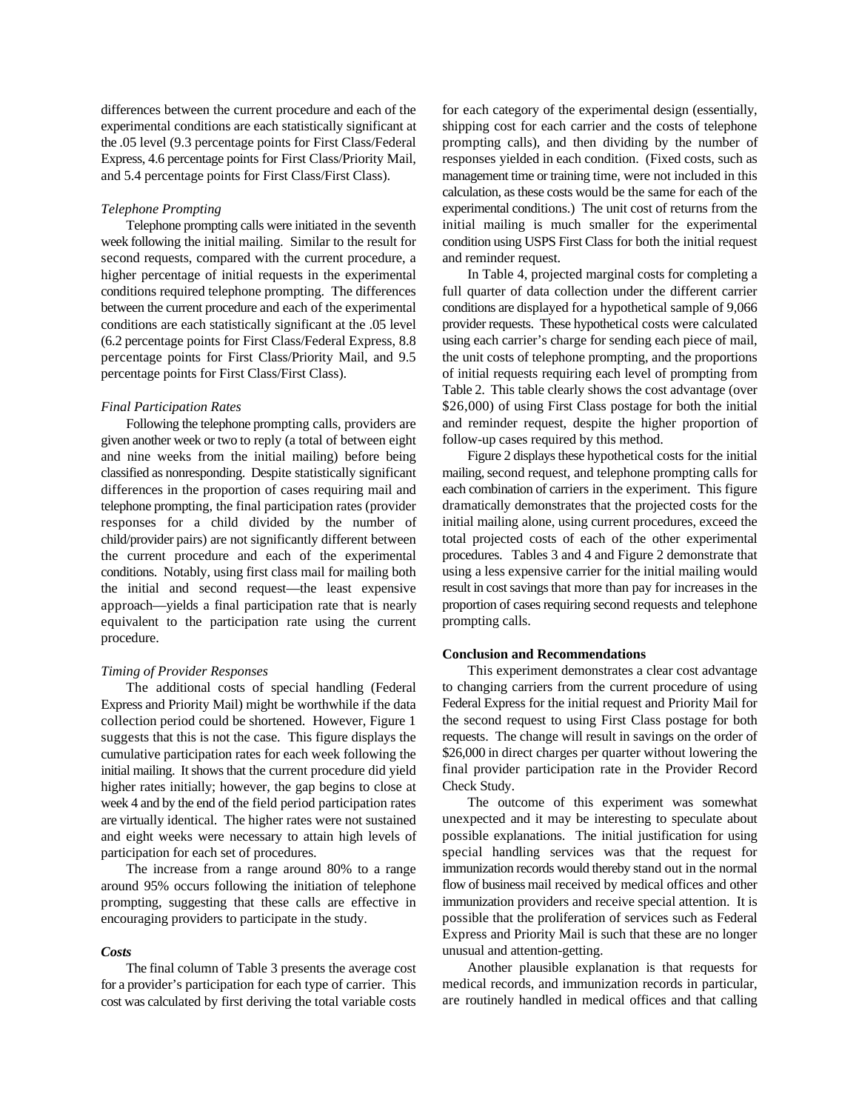differences between the current procedure and each of the experimental conditions are each statistically significant at the .05 level (9.3 percentage points for First Class/Federal Express, 4.6 percentage points for First Class/Priority Mail, and 5.4 percentage points for First Class/First Class).

#### *Telephone Prompting*

Telephone prompting calls were initiated in the seventh week following the initial mailing. Similar to the result for second requests, compared with the current procedure, a higher percentage of initial requests in the experimental conditions required telephone prompting. The differences between the current procedure and each of the experimental conditions are each statistically significant at the .05 level (6.2 percentage points for First Class/Federal Express, 8.8 percentage points for First Class/Priority Mail, and 9.5 percentage points for First Class/First Class).

#### *Final Participation Rates*

Following the telephone prompting calls, providers are given another week or two to reply (a total of between eight and nine weeks from the initial mailing) before being classified as nonresponding. Despite statistically significant differences in the proportion of cases requiring mail and telephone prompting, the final participation rates (provider responses for a child divided by the number of child/provider pairs) are not significantly different between the current procedure and each of the experimental conditions. Notably, using first class mail for mailing both the initial and second request—the least expensive approach—yields a final participation rate that is nearly equivalent to the participation rate using the current procedure.

### *Timing of Provider Responses*

The additional costs of special handling (Federal Express and Priority Mail) might be worthwhile if the data collection period could be shortened. However, Figure 1 suggests that this is not the case. This figure displays the cumulative participation rates for each week following the initial mailing. It shows that the current procedure did yield higher rates initially; however, the gap begins to close at week 4 and by the end of the field period participation rates are virtually identical. The higher rates were not sustained and eight weeks were necessary to attain high levels of participation for each set of procedures.

The increase from a range around 80% to a range around 95% occurs following the initiation of telephone prompting, suggesting that these calls are effective in encouraging providers to participate in the study.

#### *Costs*

The final column of Table 3 presents the average cost for a provider's participation for each type of carrier. This cost was calculated by first deriving the total variable costs for each category of the experimental design (essentially, shipping cost for each carrier and the costs of telephone prompting calls), and then dividing by the number of responses yielded in each condition. (Fixed costs, such as management time or training time, were not included in this calculation, as these costs would be the same for each of the experimental conditions.) The unit cost of returns from the initial mailing is much smaller for the experimental condition using USPS First Class for both the initial request and reminder request.

In Table 4, projected marginal costs for completing a full quarter of data collection under the different carrier conditions are displayed for a hypothetical sample of 9,066 provider requests. These hypothetical costs were calculated using each carrier's charge for sending each piece of mail, the unit costs of telephone prompting, and the proportions of initial requests requiring each level of prompting from Table 2. This table clearly shows the cost advantage (over \$26,000) of using First Class postage for both the initial and reminder request, despite the higher proportion of follow-up cases required by this method.

Figure 2 displays these hypothetical costs for the initial mailing, second request, and telephone prompting calls for each combination of carriers in the experiment. This figure dramatically demonstrates that the projected costs for the initial mailing alone, using current procedures, exceed the total projected costs of each of the other experimental procedures. Tables 3 and 4 and Figure 2 demonstrate that using a less expensive carrier for the initial mailing would result in cost savings that more than pay for increases in the proportion of cases requiring second requests and telephone prompting calls.

#### **Conclusion and Recommendations**

This experiment demonstrates a clear cost advantage to changing carriers from the current procedure of using Federal Express for the initial request and Priority Mail for the second request to using First Class postage for both requests. The change will result in savings on the order of \$26,000 in direct charges per quarter without lowering the final provider participation rate in the Provider Record Check Study.

The outcome of this experiment was somewhat unexpected and it may be interesting to speculate about possible explanations. The initial justification for using special handling services was that the request for immunization records would thereby stand out in the normal flow of business mail received by medical offices and other immunization providers and receive special attention. It is possible that the proliferation of services such as Federal Express and Priority Mail is such that these are no longer unusual and attention-getting.

Another plausible explanation is that requests for medical records, and immunization records in particular, are routinely handled in medical offices and that calling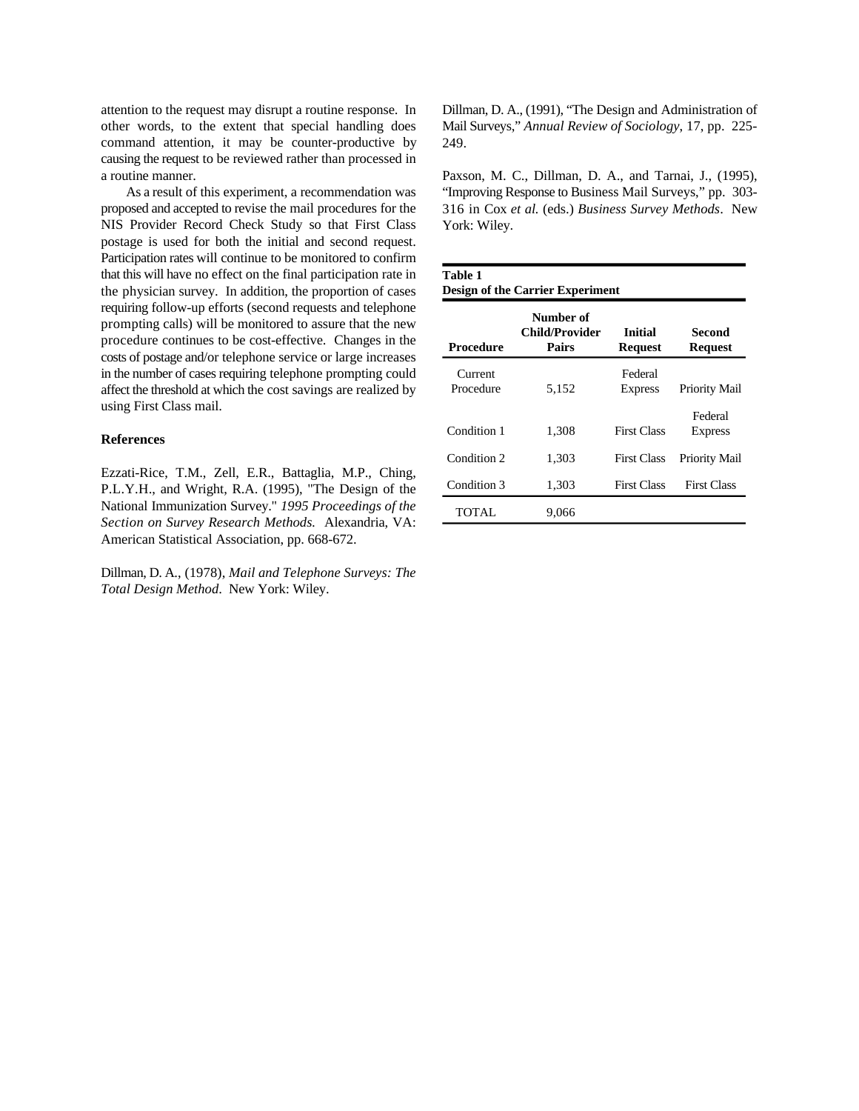attention to the request may disrupt a routine response. In other words, to the extent that special handling does command attention, it may be counter-productive by causing the request to be reviewed rather than processed in a routine manner.

As a result of this experiment, a recommendation was proposed and accepted to revise the mail procedures for the NIS Provider Record Check Study so that First Class postage is used for both the initial and second request. Participation rates will continue to be monitored to confirm that this will have no effect on the final participation rate in the physician survey. In addition, the proportion of cases requiring follow-up efforts (second requests and telephone prompting calls) will be monitored to assure that the new procedure continues to be cost-effective. Changes in the costs of postage and/or telephone service or large increases in the number of cases requiring telephone prompting could affect the threshold at which the cost savings are realized by using First Class mail.

#### **References**

Ezzati-Rice, T.M., Zell, E.R., Battaglia, M.P., Ching, P.L.Y.H., and Wright, R.A. (1995), "The Design of the National Immunization Survey." *1995 Proceedings of the Section on Survey Research Methods.* Alexandria, VA: American Statistical Association, pp. 668-672.

Dillman, D. A., (1978), *Mail and Telephone Surveys: The Total Design Method*. New York: Wiley.

Dillman, D. A., (1991), "The Design and Administration of Mail Surveys," *Annual Review of Sociology*, 17, pp. 225 249.

Paxson, M. C., Dillman, D. A., and Tarnai, J., (1995), "Improving Response to Business Mail Surveys," pp. 303 316 in Cox *et al.* (eds.) *Business Survey Methods*. New York: Wiley.

| Table 1<br><b>Design of the Carrier Experiment</b> |                                             |                           |                           |  |  |  |  |  |
|----------------------------------------------------|---------------------------------------------|---------------------------|---------------------------|--|--|--|--|--|
| Procedure                                          | Number of<br>Child/Provider<br><b>Pairs</b> | <b>Initial</b><br>Request | Second<br><b>Request</b>  |  |  |  |  |  |
| Current<br>Procedure                               | 5,152                                       | Federal<br><b>Express</b> | Priority Mail             |  |  |  |  |  |
| Condition 1                                        | 1,308                                       | <b>First Class</b>        | Federal<br><b>Express</b> |  |  |  |  |  |
| Condition 2                                        | 1,303                                       | <b>First Class</b>        | Priority Mail             |  |  |  |  |  |
| Condition 3                                        | 1,303                                       | <b>First Class</b>        | <b>First Class</b>        |  |  |  |  |  |
| TOTAL.                                             | 9,066                                       |                           |                           |  |  |  |  |  |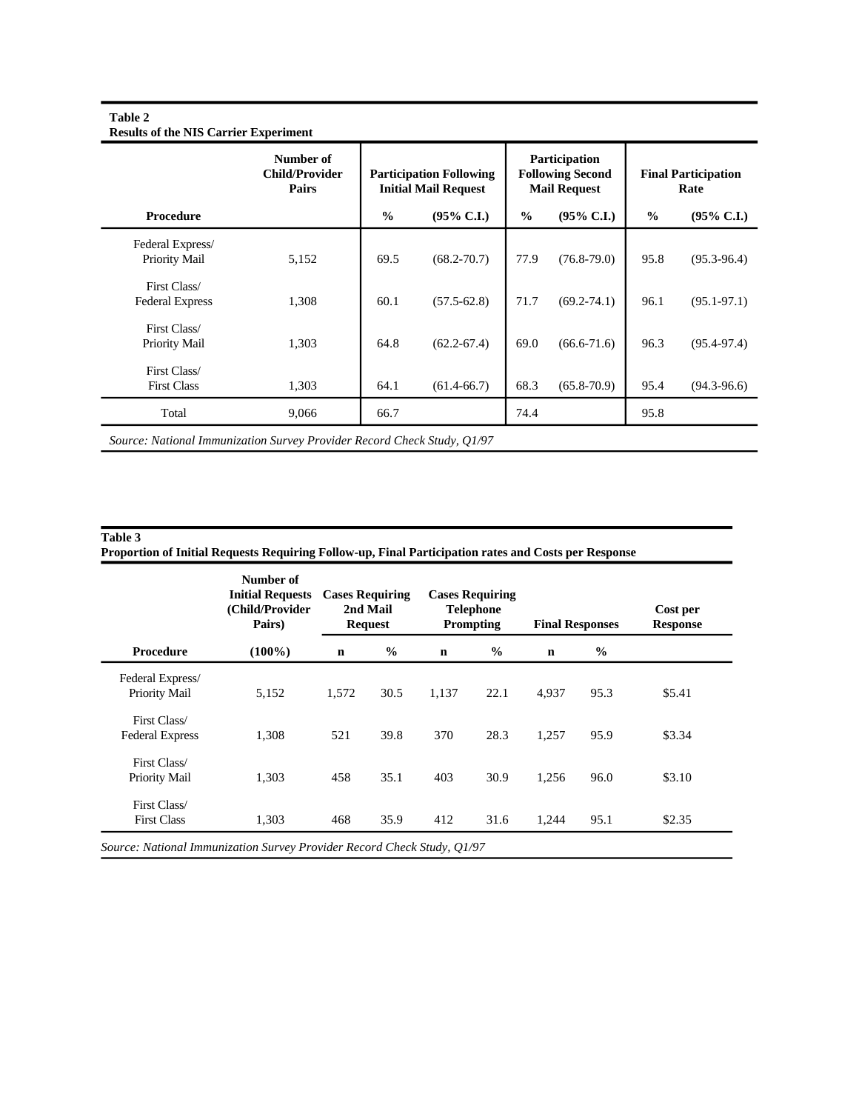|                        | Number of<br><b>Child/Provider</b><br>Pairs |               | <b>Participation Following</b><br><b>Initial Mail Request</b> | Participation<br><b>Following Second</b><br><b>Mail Request</b> |                       | <b>Final Participation</b><br>Rate |                       |
|------------------------|---------------------------------------------|---------------|---------------------------------------------------------------|-----------------------------------------------------------------|-----------------------|------------------------------------|-----------------------|
| Procedure              |                                             | $\frac{0}{0}$ | $(95\% \text{ C.I.})$                                         | $\frac{6}{6}$                                                   | $(95\% \text{ C.I.})$ | $\frac{0}{0}$                      | $(95\% \text{ C.I.})$ |
| Federal Express/       |                                             |               |                                                               |                                                                 |                       |                                    |                       |
| Priority Mail          | 5,152                                       | 69.5          | $(68.2 - 70.7)$                                               | 77.9                                                            | $(76.8 - 79.0)$       | 95.8                               | $(95.3 - 96.4)$       |
| First Class/           |                                             |               |                                                               |                                                                 |                       |                                    |                       |
| <b>Federal Express</b> | 1,308                                       | 60.1          | $(57.5 - 62.8)$                                               | 71.7                                                            | $(69.2 - 74.1)$       | 96.1                               | $(95.1 - 97.1)$       |
| First Class/           |                                             |               |                                                               |                                                                 |                       |                                    |                       |
| Priority Mail          | 1,303                                       | 64.8          | $(62.2 - 67.4)$                                               | 69.0                                                            | $(66.6 - 71.6)$       | 96.3                               | $(95.4 - 97.4)$       |
| First Class/           |                                             |               |                                                               |                                                                 |                       |                                    |                       |
| <b>First Class</b>     | 1,303                                       | 64.1          | $(61.4 - 66.7)$                                               | 68.3                                                            | $(65.8 - 70.9)$       | 95.4                               | $(94.3-96.6)$         |
| Total                  | 9,066                                       | 66.7          |                                                               | 74.4                                                            |                       | 95.8                               |                       |

# **Table 2**

**Table 3** 

|  |  |  | Proportion of Initial Requests Requiring Follow-up, Final Participation rates and Costs per Response |  |  |
|--|--|--|------------------------------------------------------------------------------------------------------|--|--|
|  |  |  |                                                                                                      |  |  |

|                                        | Number of<br><b>Initial Requests</b><br>(Child/Provider<br>Pairs) | <b>Cases Requiring</b><br>2nd Mail<br><b>Request</b> |               |             | <b>Cases Requiring</b><br><b>Telephone</b><br>Prompting<br><b>Final Responses</b> |             |               | Cost per<br><b>Response</b> |
|----------------------------------------|-------------------------------------------------------------------|------------------------------------------------------|---------------|-------------|-----------------------------------------------------------------------------------|-------------|---------------|-----------------------------|
| Procedure                              | $(100\%)$                                                         | $\mathbf n$                                          | $\frac{6}{9}$ | $\mathbf n$ | $\%$                                                                              | $\mathbf n$ | $\frac{6}{6}$ |                             |
| Federal Express/<br>Priority Mail      | 5,152                                                             | 1,572                                                | 30.5          | 1,137       | 22.1                                                                              | 4,937       | 95.3          | \$5.41                      |
| First Class/<br><b>Federal Express</b> | 1,308                                                             | 521                                                  | 39.8          | 370         | 28.3                                                                              | 1,257       | 95.9          | \$3.34                      |
| First Class/<br>Priority Mail          | 1,303                                                             | 458                                                  | 35.1          | 403         | 30.9                                                                              | 1,256       | 96.0          | \$3.10                      |
| First Class/<br><b>First Class</b>     | 1,303                                                             | 468                                                  | 35.9          | 412         | 31.6                                                                              | 1,244       | 95.1          | \$2.35                      |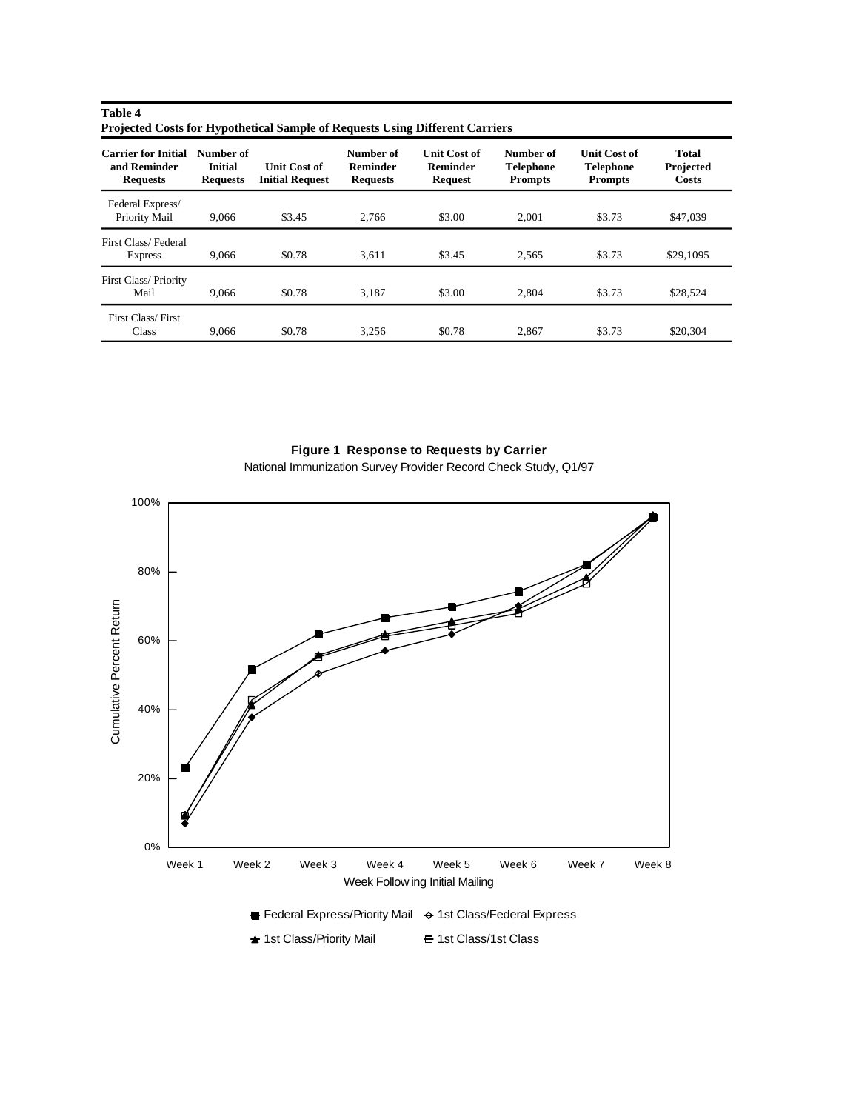| Table 4                                                                             |  |
|-------------------------------------------------------------------------------------|--|
| <b>Projected Costs for Hypothetical Sample of Requests Using Different Carriers</b> |  |

| <b>Carrier for Initial</b><br>and Reminder<br><b>Requests</b> | Number of<br><b>Initial</b><br><b>Requests</b> | <b>Unit Cost of</b><br><b>Initial Request</b> | Number of<br><b>Reminder</b><br><b>Requests</b> | <b>Unit Cost of</b><br><b>Reminder</b><br>Request | Number of<br><b>Telephone</b><br><b>Prompts</b> | <b>Unit Cost of</b><br><b>Telephone</b><br><b>Prompts</b> | <b>Total</b><br>Projected<br>Costs |
|---------------------------------------------------------------|------------------------------------------------|-----------------------------------------------|-------------------------------------------------|---------------------------------------------------|-------------------------------------------------|-----------------------------------------------------------|------------------------------------|
| Federal Express/<br>Priority Mail                             | 9.066                                          | \$3.45                                        | 2.766                                           | \$3.00                                            | 2,001                                           | \$3.73                                                    | \$47,039                           |
| First Class/Federal<br><b>Express</b>                         | 9.066                                          | \$0.78                                        | 3,611                                           | \$3.45                                            | 2,565                                           | \$3.73                                                    | \$29,1095                          |
| <b>First Class/Priority</b><br>Mail                           | 9.066                                          | \$0.78                                        | 3.187                                           | \$3.00                                            | 2.804                                           | \$3.73                                                    | \$28,524                           |
| First Class/First<br><b>Class</b>                             | 9.066                                          | \$0.78                                        | 3.256                                           | \$0.78                                            | 2,867                                           | \$3.73                                                    | \$20,304                           |

## **Figure 1 Response to Requests by Carrier**

National Immunization Survey Provider Record Check Study, Q1/97